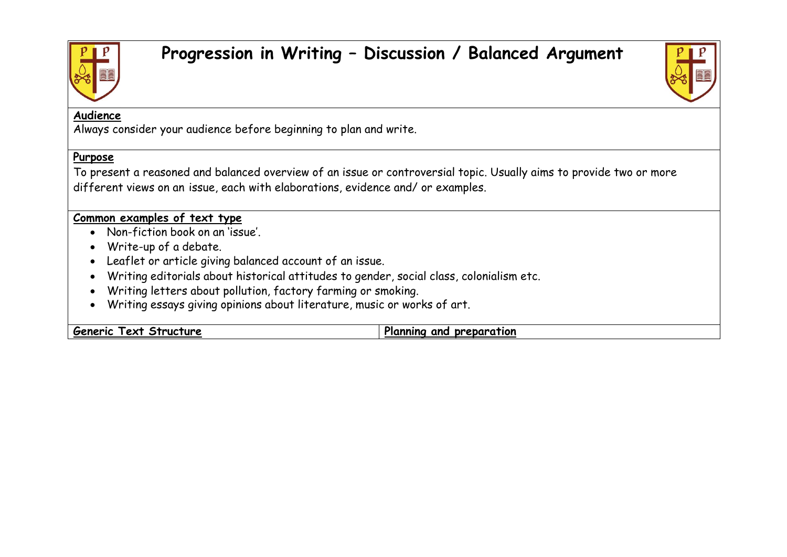

## **Progression in Writing – Discussion / Balanced Argument**



## **Audience**

Always consider your audience before beginning to plan and write.

## **Purpose**

To present a reasoned and balanced overview of an issue or controversial topic. Usually aims to provide two or more different views on an issue, each with elaborations, evidence and/ or examples.

## **Common examples of text type**

- Non-fiction book on an 'issue'.
- Write-up of a debate.
- Leaflet or article giving balanced account of an issue.
- Writing editorials about historical attitudes to gender, social class, colonialism etc.
- Writing letters about pollution, factory farming or smoking.
- Writing essays giving opinions about literature, music or works of art.

**Generic** Text Structure **Planning** and preparation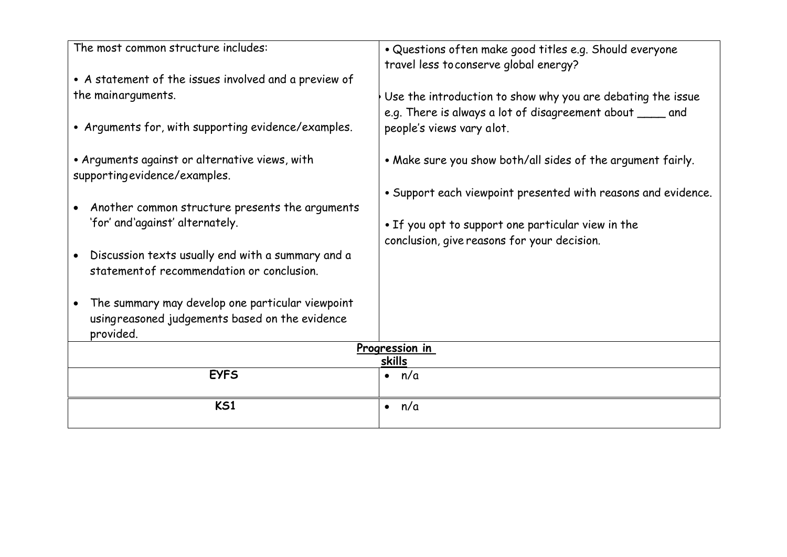| The most common structure includes:                                            | · Questions often make good titles e.g. Should everyone<br>travel less to conserve global energy?                         |  |
|--------------------------------------------------------------------------------|---------------------------------------------------------------------------------------------------------------------------|--|
| • A statement of the issues involved and a preview of                          |                                                                                                                           |  |
| the mainarguments.                                                             | Use the introduction to show why you are debating the issue<br>e.g. There is always a lot of disagreement about _____ and |  |
| • Arguments for, with supporting evidence/examples.                            | people's views vary alot.                                                                                                 |  |
| • Arguments against or alternative views, with<br>supportingevidence/examples. | . Make sure you show both/all sides of the argument fairly.                                                               |  |
|                                                                                | • Support each viewpoint presented with reasons and evidence.                                                             |  |
| Another common structure presents the arguments                                |                                                                                                                           |  |
| 'for' and'against' alternately.                                                | . If you opt to support one particular view in the                                                                        |  |
|                                                                                | conclusion, give reasons for your decision.                                                                               |  |
| Discussion texts usually end with a summary and a                              |                                                                                                                           |  |
| statement of recommendation or conclusion.                                     |                                                                                                                           |  |
| The summary may develop one particular viewpoint                               |                                                                                                                           |  |
| usingreasoned judgements based on the evidence                                 |                                                                                                                           |  |
| provided.                                                                      |                                                                                                                           |  |
| Progression in<br>skills                                                       |                                                                                                                           |  |
| <b>EYFS</b>                                                                    | n/a                                                                                                                       |  |
| <b>KS1</b>                                                                     | n/a<br>$\bullet$                                                                                                          |  |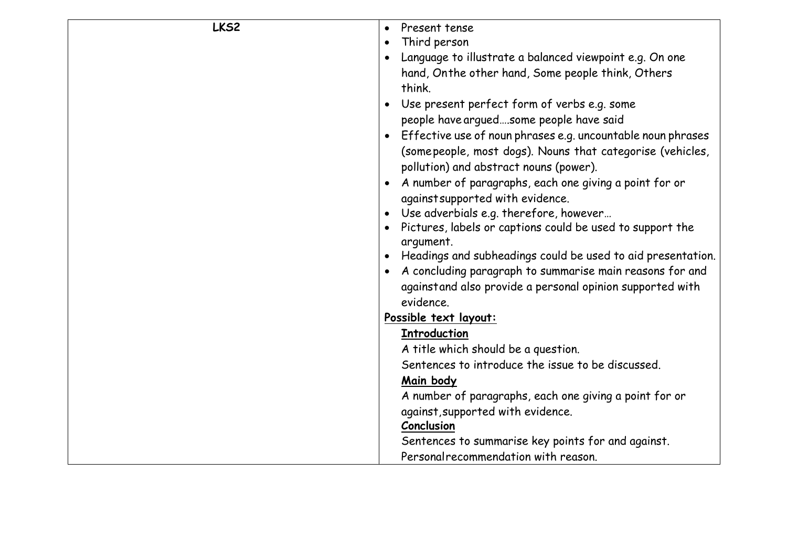| LKS2<br>Present tense<br>$\bullet$<br>Third person<br>$\bullet$ |  |
|-----------------------------------------------------------------|--|
|                                                                 |  |
|                                                                 |  |
| Language to illustrate a balanced viewpoint e.g. On one         |  |
| hand, Onthe other hand, Some people think, Others               |  |
| think.                                                          |  |
| Use present perfect form of verbs e.g. some                     |  |
| people have arguedsome people have said                         |  |
| Effective use of noun phrases e.g. uncountable noun phrases     |  |
| (some people, most dogs). Nouns that categorise (vehicles,      |  |
| pollution) and abstract nouns (power).                          |  |
| A number of paragraphs, each one giving a point for or          |  |
| against supported with evidence.                                |  |
| Use adverbials e.g. therefore, however                          |  |
| Pictures, labels or captions could be used to support the       |  |
| argument.                                                       |  |
| Headings and subheadings could be used to aid presentation.     |  |
| A concluding paragraph to summarise main reasons for and        |  |
| againstand also provide a personal opinion supported with       |  |
| evidence.                                                       |  |
| Possible text layout:                                           |  |
| <b>Introduction</b>                                             |  |
| A title which should be a question.                             |  |
| Sentences to introduce the issue to be discussed.               |  |
| Main body                                                       |  |
| A number of paragraphs, each one giving a point for or          |  |
| against, supported with evidence.                               |  |
| Conclusion                                                      |  |
| Sentences to summarise key points for and against.              |  |
| Personal recommendation with reason.                            |  |